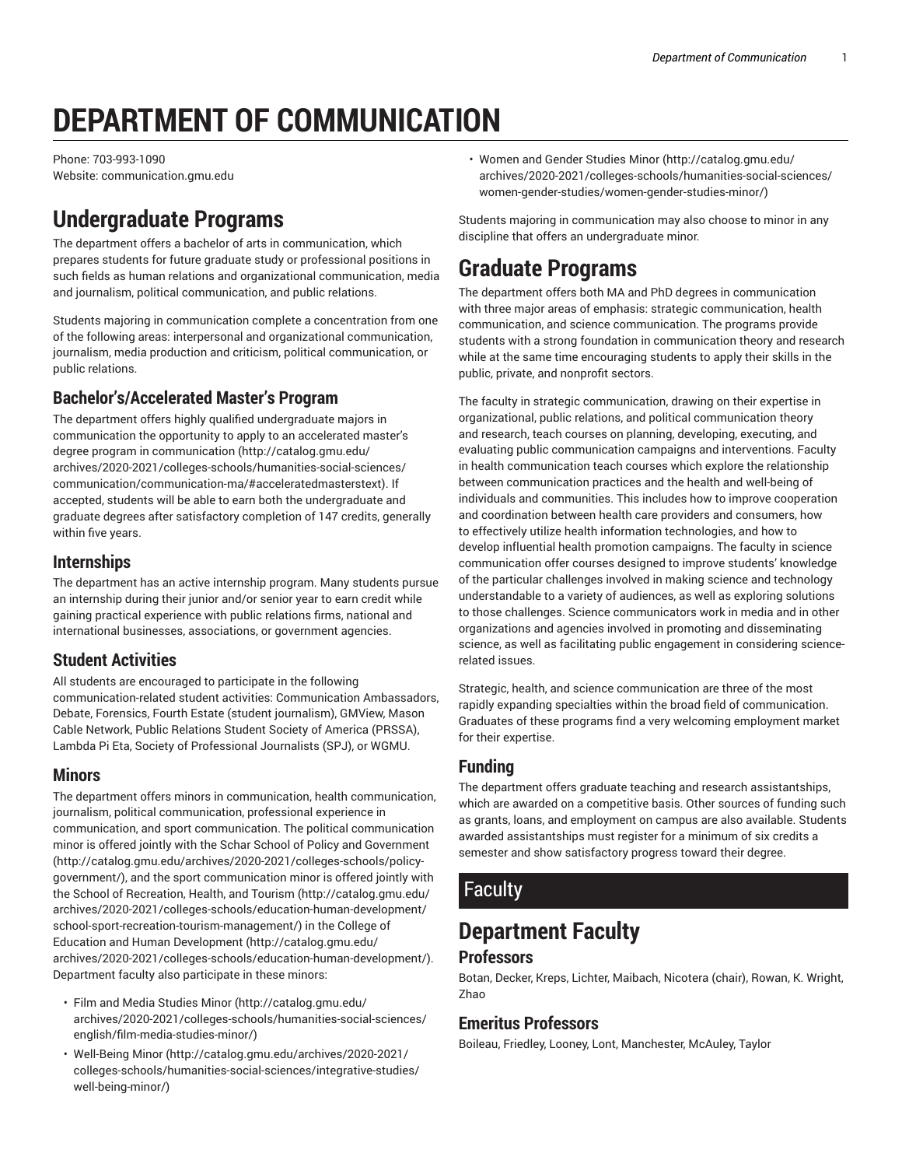# **DEPARTMENT OF COMMUNICATION**

Phone: 703-993-1090 Website: communication.gmu.edu

# **Undergraduate Programs**

The department offers a bachelor of arts in communication, which prepares students for future graduate study or professional positions in such fields as human relations and organizational communication, media and journalism, political communication, and public relations.

Students majoring in communication complete a concentration from one of the following areas: interpersonal and organizational communication, journalism, media production and criticism, political communication, or public relations.

#### **Bachelor's/Accelerated Master's Program**

The department offers highly qualified undergraduate majors in communication the opportunity to apply to an [accelerated](http://catalog.gmu.edu/archives/2020-2021/colleges-schools/humanities-social-sciences/communication/communication-ma/#acceleratedmasterstext) master's degree program in [communication \(http://catalog.gmu.edu/](http://catalog.gmu.edu/archives/2020-2021/colleges-schools/humanities-social-sciences/communication/communication-ma/#acceleratedmasterstext) [archives/2020-2021/colleges-schools/humanities-social-sciences/](http://catalog.gmu.edu/archives/2020-2021/colleges-schools/humanities-social-sciences/communication/communication-ma/#acceleratedmasterstext) [communication/communication-ma/#acceleratedmasterstext](http://catalog.gmu.edu/archives/2020-2021/colleges-schools/humanities-social-sciences/communication/communication-ma/#acceleratedmasterstext)). If accepted, students will be able to earn both the undergraduate and graduate degrees after satisfactory completion of 147 credits, generally within five years.

#### **Internships**

The department has an active internship program. Many students pursue an internship during their junior and/or senior year to earn credit while gaining practical experience with public relations firms, national and international businesses, associations, or government agencies.

#### **Student Activities**

All students are encouraged to participate in the following communication-related student activities: Communication Ambassadors, Debate, Forensics, Fourth Estate (student journalism), GMView, Mason Cable Network, Public Relations Student Society of America (PRSSA), Lambda Pi Eta, Society of Professional Journalists (SPJ), or WGMU.

#### **Minors**

The department offers minors in communication, health communication, journalism, political communication, professional experience in communication, and sport communication. The political communication minor is offered jointly with the Schar School of Policy and [Government](http://catalog.gmu.edu/archives/2020-2021/colleges-schools/policy-government/) ([http://catalog.gmu.edu/archives/2020-2021/colleges-schools/policy](http://catalog.gmu.edu/archives/2020-2021/colleges-schools/policy-government/)[government/](http://catalog.gmu.edu/archives/2020-2021/colleges-schools/policy-government/)), and the sport communication minor is offered jointly with the School of [Recreation,](http://catalog.gmu.edu/archives/2020-2021/colleges-schools/education-human-development/school-sport-recreation-tourism-management/) Health, and Tourism ([http://catalog.gmu.edu/](http://catalog.gmu.edu/archives/2020-2021/colleges-schools/education-human-development/school-sport-recreation-tourism-management/) [archives/2020-2021/colleges-schools/education-human-development/](http://catalog.gmu.edu/archives/2020-2021/colleges-schools/education-human-development/school-sport-recreation-tourism-management/) [school-sport-recreation-tourism-management/\)](http://catalog.gmu.edu/archives/2020-2021/colleges-schools/education-human-development/school-sport-recreation-tourism-management/) in the [College of](http://catalog.gmu.edu/archives/2020-2021/colleges-schools/education-human-development/) Education and Human [Development](http://catalog.gmu.edu/archives/2020-2021/colleges-schools/education-human-development/) ([http://catalog.gmu.edu/](http://catalog.gmu.edu/archives/2020-2021/colleges-schools/education-human-development/) [archives/2020-2021/colleges-schools/education-human-development/\)](http://catalog.gmu.edu/archives/2020-2021/colleges-schools/education-human-development/). Department faculty also participate in these minors:

- [Film and Media Studies Minor](http://catalog.gmu.edu/archives/2020-2021/colleges-schools/humanities-social-sciences/english/film-media-studies-minor/) ([http://catalog.gmu.edu/](http://catalog.gmu.edu/archives/2020-2021/colleges-schools/humanities-social-sciences/english/film-media-studies-minor/) [archives/2020-2021/colleges-schools/humanities-social-sciences/](http://catalog.gmu.edu/archives/2020-2021/colleges-schools/humanities-social-sciences/english/film-media-studies-minor/) [english/film-media-studies-minor/](http://catalog.gmu.edu/archives/2020-2021/colleges-schools/humanities-social-sciences/english/film-media-studies-minor/))
- [Well-Being](http://catalog.gmu.edu/archives/2020-2021/colleges-schools/humanities-social-sciences/integrative-studies/well-being-minor/) Minor [\(http://catalog.gmu.edu/archives/2020-2021/](http://catalog.gmu.edu/archives/2020-2021/colleges-schools/humanities-social-sciences/integrative-studies/well-being-minor/) [colleges-schools/humanities-social-sciences/integrative-studies/](http://catalog.gmu.edu/archives/2020-2021/colleges-schools/humanities-social-sciences/integrative-studies/well-being-minor/) [well-being-minor/\)](http://catalog.gmu.edu/archives/2020-2021/colleges-schools/humanities-social-sciences/integrative-studies/well-being-minor/)

• [Women](http://catalog.gmu.edu/archives/2020-2021/colleges-schools/humanities-social-sciences/women-gender-studies/women-gender-studies-minor/) and Gender Studies Minor ([http://catalog.gmu.edu/](http://catalog.gmu.edu/archives/2020-2021/colleges-schools/humanities-social-sciences/women-gender-studies/women-gender-studies-minor/) [archives/2020-2021/colleges-schools/humanities-social-sciences/](http://catalog.gmu.edu/archives/2020-2021/colleges-schools/humanities-social-sciences/women-gender-studies/women-gender-studies-minor/) [women-gender-studies/women-gender-studies-minor/\)](http://catalog.gmu.edu/archives/2020-2021/colleges-schools/humanities-social-sciences/women-gender-studies/women-gender-studies-minor/)

Students majoring in communication may also choose to minor in any discipline that offers an undergraduate minor.

# **Graduate Programs**

The department offers both MA and PhD degrees in communication with three major areas of emphasis: strategic communication, health communication, and science communication. The programs provide students with a strong foundation in communication theory and research while at the same time encouraging students to apply their skills in the public, private, and nonprofit sectors.

The faculty in strategic communication, drawing on their expertise in organizational, public relations, and political communication theory and research, teach courses on planning, developing, executing, and evaluating public communication campaigns and interventions. Faculty in health communication teach courses which explore the relationship between communication practices and the health and well-being of individuals and communities. This includes how to improve cooperation and coordination between health care providers and consumers, how to effectively utilize health information technologies, and how to develop influential health promotion campaigns. The faculty in science communication offer courses designed to improve students' knowledge of the particular challenges involved in making science and technology understandable to a variety of audiences, as well as exploring solutions to those challenges. Science communicators work in media and in other organizations and agencies involved in promoting and disseminating science, as well as facilitating public engagement in considering sciencerelated issues.

Strategic, health, and science communication are three of the most rapidly expanding specialties within the broad field of communication. Graduates of these programs find a very welcoming employment market for their expertise.

#### **Funding**

The department offers graduate teaching and research assistantships, which are awarded on a competitive basis. Other sources of funding such as grants, loans, and employment on campus are also available. Students awarded assistantships must register for a minimum of six credits a semester and show satisfactory progress toward their degree.

### Faculty

# **Department Faculty**

#### **Professors**

Botan, Decker, Kreps, Lichter, Maibach, Nicotera (chair), Rowan, K. Wright, Zhao

#### **Emeritus Professors**

Boileau, Friedley, Looney, Lont, Manchester, McAuley, Taylor